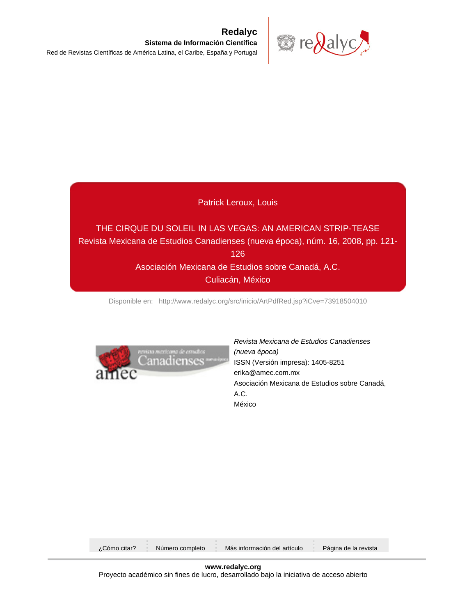

## Patrick Leroux, Louis

## THE CIRQUE DU SOLEIL IN LAS VEGAS: AN AMERICAN STRIP-TEASE Revista Mexicana de Estudios Canadienses (nueva época), núm. 16, 2008, pp. 121- 126 Asociación Mexicana de Estudios sobre Canadá, A.C. Culiacán, México

[Disponible en: http://www.redalyc.org/src/inicio/ArtPdfRed.jsp?iCve=73918504010](http://www.redalyc.org/src/inicio/ArtPdfRed.jsp?iCve=73918504010)



Revista Mexicana de Estudios Canadienses (nueva época) ISSN (Versión impresa): 1405-8251 erika@amec.com.mx Asociación Mexicana de Estudios sobre Canadá, A.C. México

| Más información del artículo<br>Página de la revista<br>Número completo<br>¿Cómo citar? |  |  |  |  |  |  |  |  |  |
|-----------------------------------------------------------------------------------------|--|--|--|--|--|--|--|--|--|
|-----------------------------------------------------------------------------------------|--|--|--|--|--|--|--|--|--|

**www.redalyc.org** Proyecto académico sin fines de lucro, desarrollado bajo la iniciativa de acceso abierto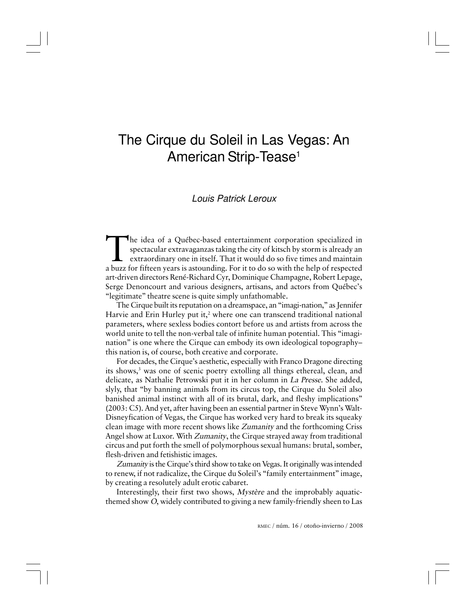# The Cirque du Soleil in Las Vegas: An American Strip-Tease<sup>1</sup>

## Louis Patrick Leroux

The idea of a Québec-based entertainment corporation specialized in spectacular extravaganzas taking the city of kitsch by storm is already an extraordinary one in itself. That it would do so five times and maintain a buzz he idea of a Québec-based entertainment corporation specialized in spectacular extravaganzas taking the city of kitsch by storm is already an  $\mathsf{\mathsf{L}}$  extraordinary one in itself. That it would do so five times and maintain art-driven directors René-Richard Cyr, Dominique Champagne, Robert Lepage, Serge Denoncourt and various designers, artisans, and actors from Québec's "legitimate" theatre scene is quite simply unfathomable.

The Cirque built its reputation on a dreamspace, an "imagi-nation," as Jennifer Harvie and Erin Hurley put it, $^2$  where one can transcend traditional national parameters, where sexless bodies contort before us and artists from across the world unite to tell the non-verbal tale of infinite human potential. This "imagination" is one where the Cirque can embody its own ideological topography– this nation is, of course, both creative and corporate.

For decades, the Cirque's aesthetic, especially with Franco Dragone directing its shows,<sup>3</sup> was one of scenic poetry extolling all things ethereal, clean, and delicate, as Nathalie Petrowski put it in her column in La Presse. She added, slyly, that "by banning animals from its circus top, the Cirque du Soleil also banished animal instinct with all of its brutal, dark, and fleshy implications" (2003: C5). And yet, after having been an essential partner in Steve Wynn's Walt-Disneyfication of Vegas, the Cirque has worked very hard to break its squeaky clean image with more recent shows like Zumanity and the forthcoming Criss Angel show at Luxor. With Zumanity, the Cirque strayed away from traditional circus and put forth the smell of polymorphous sexual humans: brutal, somber, flesh-driven and fetishistic images.

Zumanity is the Cirque's third show to take on Vegas. It originally was intended to renew, if not radicalize, the Cirque du Soleil's "family entertainment" image, by creating a resolutely adult erotic cabaret.

Interestingly, their first two shows, Mystère and the improbably aquaticthemed show O, widely contributed to giving a new family-friendly sheen to Las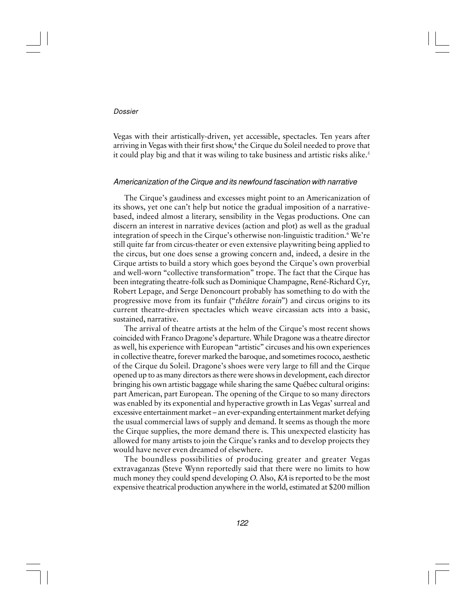#### Dossier

Vegas with their artistically-driven, yet accessible, spectacles. Ten years after arriving in Vegas with their first show, 4 the Cirque du Soleil needed to prove that it could play big and that it was wiling to take business and artistic risks alike.<sup>5</sup>

#### Americanization of the Cirque and its newfound fascination with narrative

The Cirque's gaudiness and excesses might point to an Americanization of its shows, yet one can't help but notice the gradual imposition of a narrativebased, indeed almost a literary, sensibility in the Vegas productions. One can discern an interest in narrative devices (action and plot) as well as the gradual integration of speech in the Cirque's otherwise non-linguistic tradition.<sup>6</sup> We're still quite far from circus-theater or even extensive playwriting being applied to the circus, but one does sense a growing concern and, indeed, a desire in the Cirque artists to build a story which goes beyond the Cirque's own proverbial and well-worn "collective transformation" trope. The fact that the Cirque has been integrating theatre-folk such as Dominique Champagne, René-Richard Cyr, Robert Lepage, and Serge Denoncourt probably has something to do with the progressive move from its funfair ("théâtre forain") and circus origins to its current theatre-driven spectacles which weave circassian acts into a basic, sustained, narrative.

The arrival of theatre artists at the helm of the Cirque's most recent shows coincided with Franco Dragone's departure. While Dragone was a theatre director as well, his experience with European "artistic" circuses and his own experiences in collective theatre, forever marked the baroque, and sometimes rococo, aesthetic of the Cirque du Soleil. Dragone's shoes were very large to fill and the Cirque opened up to as many directors as there were shows in development, each director bringing his own artistic baggage while sharing the same Québec cultural origins: part American, part European. The opening of the Cirque to so many directors was enabled by its exponential and hyperactive growth in Las Vegas' surreal and excessive entertainment market – an ever-expanding entertainment market defying the usual commercial laws of supply and demand. It seems as though the more the Cirque supplies, the more demand there is. This unexpected elasticity has allowed for many artists to join the Cirque's ranks and to develop projects they would have never even dreamed of elsewhere.

The boundless possibilities of producing greater and greater Vegas extravaganzas (Steve Wynn reportedly said that there were no limits to how much money they could spend developing O. Also, KA is reported to be the most expensive theatrical production anywhere in the world, estimated at \$200 million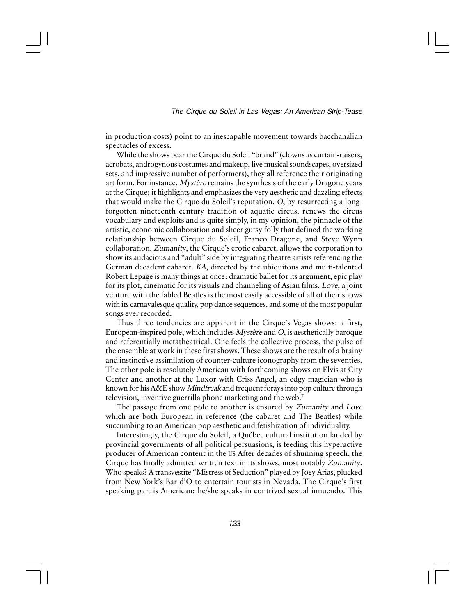in production costs) point to an inescapable movement towards bacchanalian spectacles of excess.

While the shows bear the Cirque du Soleil "brand" (clowns as curtain-raisers, acrobats, androgynous costumes and makeup, live musical soundscapes, oversized sets, and impressive number of performers), they all reference their originating art form. For instance, *Mystère* remains the synthesis of the early Dragone years at the Cirque; it highlights and emphasizes the very aesthetic and dazzling effects that would make the Cirque du Soleil's reputation. O, by resurrecting a longforgotten nineteenth century tradition of aquatic circus, renews the circus vocabulary and exploits and is quite simply, in my opinion, the pinnacle of the artistic, economic collaboration and sheer gutsy folly that defined the working relationship between Cirque du Soleil, Franco Dragone, and Steve Wynn collaboration. Zumanity, the Cirque's erotic cabaret, allows the corporation to show its audacious and "adult" side by integrating theatre artists referencing the German decadent cabaret. KA, directed by the ubiquitous and multi-talented Robert Lepage is many things at once: dramatic ballet for its argument, epic play for its plot, cinematic for its visuals and channeling of Asian films. Love, a joint venture with the fabled Beatles is the most easily accessible of all of their shows with its carnavalesque quality, pop dance sequences, and some of the most popular songs ever recorded.

Thus three tendencies are apparent in the Cirque's Vegas shows: a first, European-inspired pole, which includes Mystère and O, is aesthetically baroque and referentially metatheatrical. One feels the collective process, the pulse of the ensemble at work in these first shows. These shows are the result of a brainy and instinctive assimilation of counter-culture iconography from the seventies. The other pole is resolutely American with forthcoming shows on Elvis at City Center and another at the Luxor with Criss Angel, an edgy magician who is known for his A&E show Mindfreak and frequent forays into pop culture through television, inventive guerrilla phone marketing and the web.<sup>7</sup>

The passage from one pole to another is ensured by Zumanity and Love which are both European in reference (the cabaret and The Beatles) while succumbing to an American pop aesthetic and fetishization of individuality.

Interestingly, the Cirque du Soleil, a Québec cultural institution lauded by provincial governments of all political persuasions, is feeding this hyperactive producer of American content in the US After decades of shunning speech, the Cirque has finally admitted written text in its shows, most notably Zumanity. Who speaks? A transvestite "Mistress of Seduction" played by Joey Arias, plucked from New York's Bar d'O to entertain tourists in Nevada. The Cirque's first speaking part is American: he/she speaks in contrived sexual innuendo. This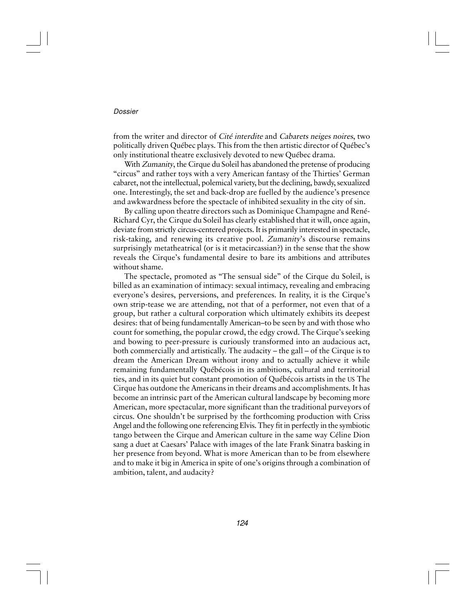#### Dossier

from the writer and director of Cité interdite and Cabarets neiges noires, two politically driven Québec plays. This from the then artistic director of Québec's only institutional theatre exclusively devoted to new Québec drama.

With Zumanity, the Cirque du Soleil has abandoned the pretense of producing "circus" and rather toys with a very American fantasy of the Thirties' German cabaret, not the intellectual, polemical variety, but the declining, bawdy, sexualized one. Interestingly, the set and back-drop are fuelled by the audience's presence and awkwardness before the spectacle of inhibited sexuality in the city of sin.

By calling upon theatre directors such as Dominique Champagne and René-Richard Cyr, the Cirque du Soleil has clearly established that it will, once again, deviate from strictly circus-centered projects. It is primarily interested in spectacle, risk-taking, and renewing its creative pool. Zumanity's discourse remains surprisingly metatheatrical (or is it metacircassian?) in the sense that the show reveals the Cirque's fundamental desire to bare its ambitions and attributes without shame.

The spectacle, promoted as "The sensual side" of the Cirque du Soleil, is billed as an examination of intimacy: sexual intimacy, revealing and embracing everyone's desires, perversions, and preferences. In reality, it is the Cirque's own strip-tease we are attending, not that of a performer, not even that of a group, but rather a cultural corporation which ultimately exhibits its deepest desires: that of being fundamentally American–to be seen by and with those who count for something, the popular crowd, the edgy crowd. The Cirque's seeking and bowing to peer-pressure is curiously transformed into an audacious act, both commercially and artistically. The audacity – the gall – of the Cirque is to dream the American Dream without irony and to actually achieve it while remaining fundamentally Québécois in its ambitions, cultural and territorial ties, and in its quiet but constant promotion of Québécois artists in the US The Cirque has outdone the Americans in their dreams and accomplishments. It has become an intrinsic part of the American cultural landscape by becoming more American, more spectacular, more significant than the traditional purveyors of circus. One shouldn't be surprised by the forthcoming production with Criss Angel and the following one referencing Elvis. They fit in perfectly in the symbiotic tango between the Cirque and American culture in the same way Céline Dion sang a duet at Caesars' Palace with images of the late Frank Sinatra basking in her presence from beyond. What is more American than to be from elsewhere and to make it big in America in spite of one's origins through a combination of ambition, talent, and audacity?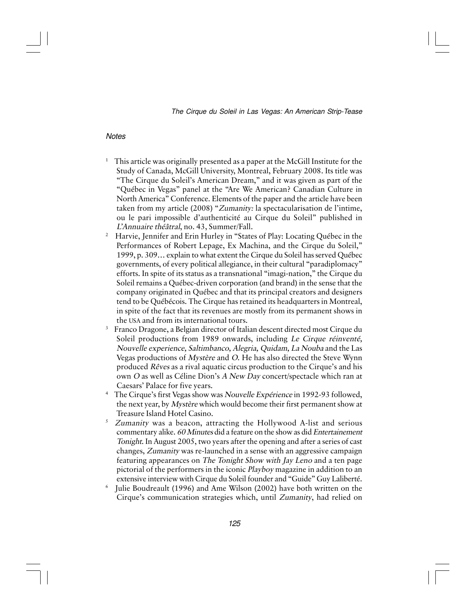### **Notes**

- 1 This article was originally presented as a paper at the McGill Institute for the Study of Canada, McGill University, Montreal, February 2008. Its title was "The Cirque du Soleil's American Dream," and it was given as part of the "Québec in Vegas" panel at the "Are We American? Canadian Culture in North America" Conference. Elements of the paper and the article have been taken from my article (2008) "Zumanity: la spectacularisation de l'intime, ou le pari impossible d'authenticité au Cirque du Soleil" published in L'Annuaire théâtral, no. 43, Summer/Fall.
- 2 Harvie, Jennifer and Erin Hurley in "States of Play: Locating Québec in the Performances of Robert Lepage, Ex Machina, and the Cirque du Soleil," 1999, p. 309… explain to what extent the Cirque du Soleil has served Québec governments, of every political allegiance, in their cultural "paradiplomacy" efforts. In spite of its status as a transnational "imagi-nation," the Cirque du Soleil remains a Québec-driven corporation (and brand) in the sense that the company originated in Québec and that its principal creators and designers tend to be Québécois. The Cirque has retained its headquarters in Montreal, in spite of the fact that its revenues are mostly from its permanent shows in the USA and from its international tours.
- 3 Franco Dragone, a Belgian director of Italian descent directed most Cirque du Soleil productions from 1989 onwards, including Le Cirque réinventé, Nouvelle experience, Saltimbanco, Alegria, Quidam, La Nouba and the Las Vegas productions of Mystère and O. He has also directed the Steve Wynn produced Rêves as a rival aquatic circus production to the Cirque's and his own O as well as Céline Dion's A New Day concert/spectacle which ran at Caesars' Palace for five years.
- <sup>4</sup> The Cirque's first Vegas show was Nouvelle Expérience in 1992-93 followed, the next year, by *Mystère* which would become their first permanent show at Treasure Island Hotel Casino.
- $5$  Zumanity was a beacon, attracting the Hollywood A-list and serious commentary alike. 60 Minutes did a feature on the show as did Entertainement Tonight. In August 2005, two years after the opening and after a series of cast changes, Zumanity was re-launched in a sense with an aggressive campaign featuring appearances on The Tonight Show with Jay Leno and a ten page pictorial of the performers in the iconic Playboy magazine in addition to an extensive interview with Cirque du Soleil founder and "Guide" Guy Laliberté.
- $^{\rm 6}$  Julie Boudreault (1996) and Ame Wilson (2002) have both written on the Cirque's communication strategies which, until Zumanity, had relied on